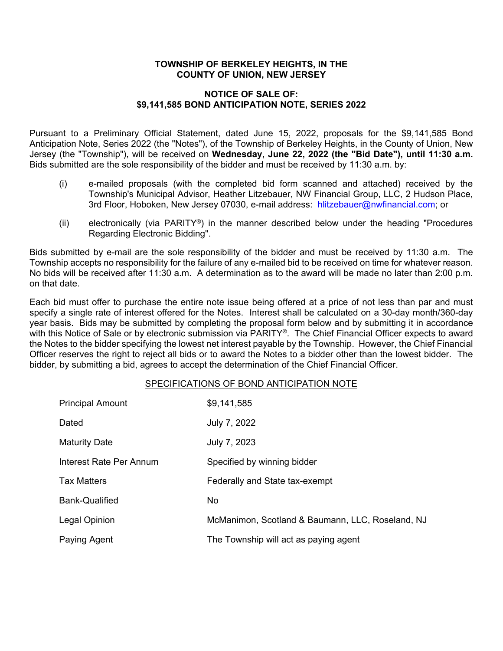#### **TOWNSHIP OF BERKELEY HEIGHTS, IN THE COUNTY OF UNION, NEW JERSEY**

#### **NOTICE OF SALE OF: \$9,141,585 BOND ANTICIPATION NOTE, SERIES 2022**

Pursuant to a Preliminary Official Statement, dated June 15, 2022, proposals for the \$9,141,585 Bond Anticipation Note, Series 2022 (the "Notes"), of the Township of Berkeley Heights, in the County of Union, New Jersey (the "Township"), will be received on **Wednesday, June 22, 2022 (the "Bid Date"), until 11:30 a.m.** Bids submitted are the sole responsibility of the bidder and must be received by 11:30 a.m. by:

- (i) e-mailed proposals (with the completed bid form scanned and attached) received by the Township's Municipal Advisor, Heather Litzebauer, NW Financial Group, LLC, 2 Hudson Place, 3rd Floor, Hoboken, New Jersey 07030, e-mail address: [hlitzebauer@nwfinancial.com;](mailto:hlitzebauer@nwfinancial.com) or
- (ii) electronically (via PARITY<sup>®</sup>) in the manner described below under the heading "Procedures" Regarding Electronic Bidding".

Bids submitted by e-mail are the sole responsibility of the bidder and must be received by 11:30 a.m. The Township accepts no responsibility for the failure of any e-mailed bid to be received on time for whatever reason. No bids will be received after 11:30 a.m. A determination as to the award will be made no later than 2:00 p.m. on that date.

Each bid must offer to purchase the entire note issue being offered at a price of not less than par and must specify a single rate of interest offered for the Notes. Interest shall be calculated on a 30-day month/360-day year basis. Bids may be submitted by completing the proposal form below and by submitting it in accordance with this Notice of Sale or by electronic submission via PARITY®. The Chief Financial Officer expects to award the Notes to the bidder specifying the lowest net interest payable by the Township. However, the Chief Financial Officer reserves the right to reject all bids or to award the Notes to a bidder other than the lowest bidder. The bidder, by submitting a bid, agrees to accept the determination of the Chief Financial Officer.

#### SPECIFICATIONS OF BOND ANTICIPATION NOTE

| <b>Principal Amount</b> | \$9,141,585                                      |
|-------------------------|--------------------------------------------------|
| Dated                   | July 7, 2022                                     |
| <b>Maturity Date</b>    | July 7, 2023                                     |
| Interest Rate Per Annum | Specified by winning bidder                      |
| <b>Tax Matters</b>      | Federally and State tax-exempt                   |
| <b>Bank-Qualified</b>   | No.                                              |
| Legal Opinion           | McManimon, Scotland & Baumann, LLC, Roseland, NJ |
| Paying Agent            | The Township will act as paying agent            |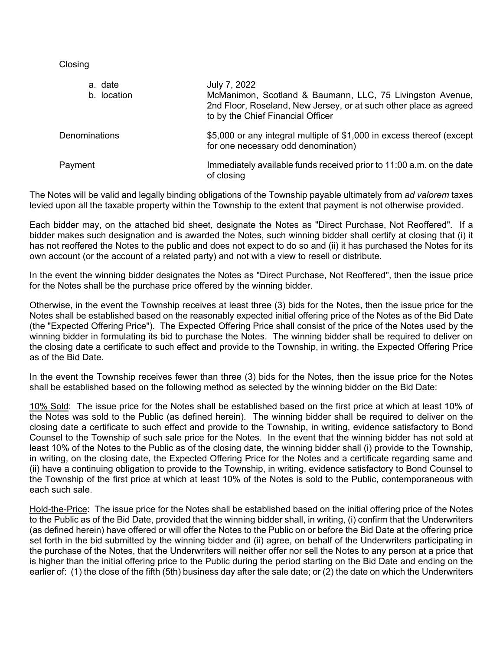**Closing** 

| a. date<br>b. location | July 7, 2022<br>McManimon, Scotland & Baumann, LLC, 75 Livingston Avenue,<br>2nd Floor, Roseland, New Jersey, or at such other place as agreed<br>to by the Chief Financial Officer |
|------------------------|-------------------------------------------------------------------------------------------------------------------------------------------------------------------------------------|
| Denominations          | \$5,000 or any integral multiple of \$1,000 in excess thereof (except<br>for one necessary odd denomination)                                                                        |
| Payment                | Immediately available funds received prior to 11:00 a.m. on the date<br>of closing                                                                                                  |

The Notes will be valid and legally binding obligations of the Township payable ultimately from *ad valorem* taxes levied upon all the taxable property within the Township to the extent that payment is not otherwise provided.

Each bidder may, on the attached bid sheet, designate the Notes as "Direct Purchase, Not Reoffered". If a bidder makes such designation and is awarded the Notes, such winning bidder shall certify at closing that (i) it has not reoffered the Notes to the public and does not expect to do so and (ii) it has purchased the Notes for its own account (or the account of a related party) and not with a view to resell or distribute.

In the event the winning bidder designates the Notes as "Direct Purchase, Not Reoffered", then the issue price for the Notes shall be the purchase price offered by the winning bidder.

Otherwise, in the event the Township receives at least three (3) bids for the Notes, then the issue price for the Notes shall be established based on the reasonably expected initial offering price of the Notes as of the Bid Date (the "Expected Offering Price"). The Expected Offering Price shall consist of the price of the Notes used by the winning bidder in formulating its bid to purchase the Notes. The winning bidder shall be required to deliver on the closing date a certificate to such effect and provide to the Township, in writing, the Expected Offering Price as of the Bid Date.

In the event the Township receives fewer than three (3) bids for the Notes, then the issue price for the Notes shall be established based on the following method as selected by the winning bidder on the Bid Date:

10% Sold: The issue price for the Notes shall be established based on the first price at which at least 10% of the Notes was sold to the Public (as defined herein). The winning bidder shall be required to deliver on the closing date a certificate to such effect and provide to the Township, in writing, evidence satisfactory to Bond Counsel to the Township of such sale price for the Notes. In the event that the winning bidder has not sold at least 10% of the Notes to the Public as of the closing date, the winning bidder shall (i) provide to the Township, in writing, on the closing date, the Expected Offering Price for the Notes and a certificate regarding same and (ii) have a continuing obligation to provide to the Township, in writing, evidence satisfactory to Bond Counsel to the Township of the first price at which at least 10% of the Notes is sold to the Public, contemporaneous with each such sale.

Hold-the-Price: The issue price for the Notes shall be established based on the initial offering price of the Notes to the Public as of the Bid Date, provided that the winning bidder shall, in writing, (i) confirm that the Underwriters (as defined herein) have offered or will offer the Notes to the Public on or before the Bid Date at the offering price set forth in the bid submitted by the winning bidder and (ii) agree, on behalf of the Underwriters participating in the purchase of the Notes, that the Underwriters will neither offer nor sell the Notes to any person at a price that is higher than the initial offering price to the Public during the period starting on the Bid Date and ending on the earlier of: (1) the close of the fifth (5th) business day after the sale date; or (2) the date on which the Underwriters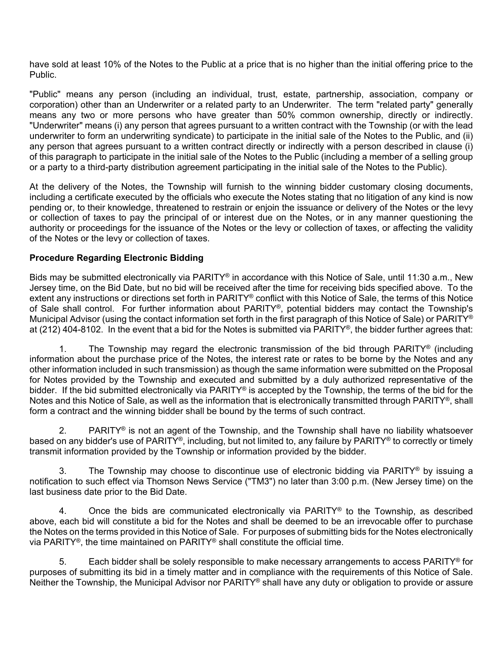have sold at least 10% of the Notes to the Public at a price that is no higher than the initial offering price to the Public.

"Public" means any person (including an individual, trust, estate, partnership, association, company or corporation) other than an Underwriter or a related party to an Underwriter. The term "related party" generally means any two or more persons who have greater than 50% common ownership, directly or indirectly. "Underwriter" means (i) any person that agrees pursuant to a written contract with the Township (or with the lead underwriter to form an underwriting syndicate) to participate in the initial sale of the Notes to the Public, and (ii) any person that agrees pursuant to a written contract directly or indirectly with a person described in clause (i) of this paragraph to participate in the initial sale of the Notes to the Public (including a member of a selling group or a party to a third-party distribution agreement participating in the initial sale of the Notes to the Public).

At the delivery of the Notes, the Township will furnish to the winning bidder customary closing documents, including a certificate executed by the officials who execute the Notes stating that no litigation of any kind is now pending or, to their knowledge, threatened to restrain or enjoin the issuance or delivery of the Notes or the levy or collection of taxes to pay the principal of or interest due on the Notes, or in any manner questioning the authority or proceedings for the issuance of the Notes or the levy or collection of taxes, or affecting the validity of the Notes or the levy or collection of taxes.

### **Procedure Regarding Electronic Bidding**

Bids may be submitted electronically via PARITY® in accordance with this Notice of Sale, until 11:30 a.m., New Jersey time, on the Bid Date, but no bid will be received after the time for receiving bids specified above. To the extent any instructions or directions set forth in PARITY® conflict with this Notice of Sale, the terms of this Notice of Sale shall control. For further information about PARITY®, potential bidders may contact the Township's Municipal Advisor (using the contact information set forth in the first paragraph of this Notice of Sale) or PARITY® at (212) 404-8102. In the event that a bid for the Notes is submitted via PARITY®, the bidder further agrees that:

1. The Township may regard the electronic transmission of the bid through PARITY<sup>®</sup> (including information about the purchase price of the Notes, the interest rate or rates to be borne by the Notes and any other information included in such transmission) as though the same information were submitted on the Proposal for Notes provided by the Township and executed and submitted by a duly authorized representative of the bidder. If the bid submitted electronically via PARITY® is accepted by the Township, the terms of the bid for the Notes and this Notice of Sale, as well as the information that is electronically transmitted through PARITY®, shall form a contract and the winning bidder shall be bound by the terms of such contract.

2. PARITY<sup>®</sup> is not an agent of the Township, and the Township shall have no liability whatsoever based on any bidder's use of PARITY®, including, but not limited to, any failure by PARITY® to correctly or timely transmit information provided by the Township or information provided by the bidder.

3. The Township may choose to discontinue use of electronic bidding via PARITY® by issuing a notification to such effect via Thomson News Service ("TM3") no later than 3:00 p.m. (New Jersey time) on the last business date prior to the Bid Date.

4. Once the bids are communicated electronically via PARITY<sup>®</sup> to the Township, as described above, each bid will constitute a bid for the Notes and shall be deemed to be an irrevocable offer to purchase the Notes on the terms provided in this Notice of Sale. For purposes of submitting bids for the Notes electronically via PARITY®, the time maintained on PARITY® shall constitute the official time.

5. Each bidder shall be solely responsible to make necessary arrangements to access  $\text{PARITY}^{\otimes}$  for purposes of submitting its bid in a timely matter and in compliance with the requirements of this Notice of Sale. Neither the Township, the Municipal Advisor nor PARITY® shall have any duty or obligation to provide or assure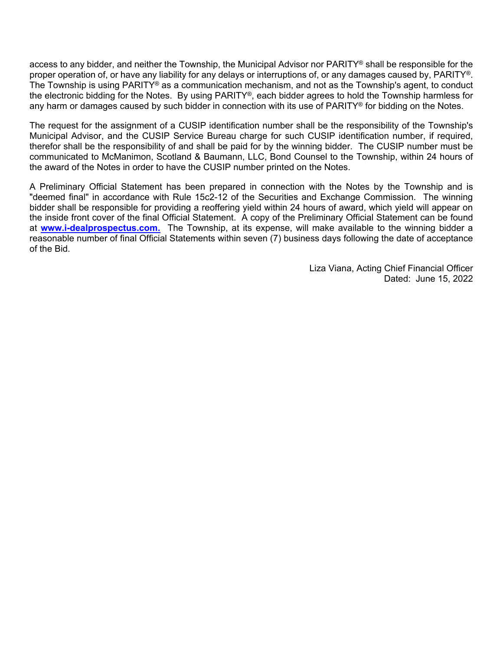access to any bidder, and neither the Township, the Municipal Advisor nor PARITY® shall be responsible for the proper operation of, or have any liability for any delays or interruptions of, or any damages caused by, PARITY®. The Township is using PARITY® as a communication mechanism, and not as the Township's agent, to conduct the electronic bidding for the Notes. By using PARITY®, each bidder agrees to hold the Township harmless for any harm or damages caused by such bidder in connection with its use of PARITY® for bidding on the Notes.

The request for the assignment of a CUSIP identification number shall be the responsibility of the Township's Municipal Advisor, and the CUSIP Service Bureau charge for such CUSIP identification number, if required, therefor shall be the responsibility of and shall be paid for by the winning bidder. The CUSIP number must be communicated to McManimon, Scotland & Baumann, LLC, Bond Counsel to the Township, within 24 hours of the award of the Notes in order to have the CUSIP number printed on the Notes.

A Preliminary Official Statement has been prepared in connection with the Notes by the Township and is "deemed final" in accordance with Rule 15c2-12 of the Securities and Exchange Commission. The winning bidder shall be responsible for providing a reoffering yield within 24 hours of award, which yield will appear on the inside front cover of the final Official Statement. A copy of the Preliminary Official Statement can be found at **[www.i-dealprospectus.com.](http://www.i-dealprospectus.com/)** The Township, at its expense, will make available to the winning bidder a reasonable number of final Official Statements within seven (7) business days following the date of acceptance of the Bid.

> Liza Viana, Acting Chief Financial Officer Dated: June 15, 2022